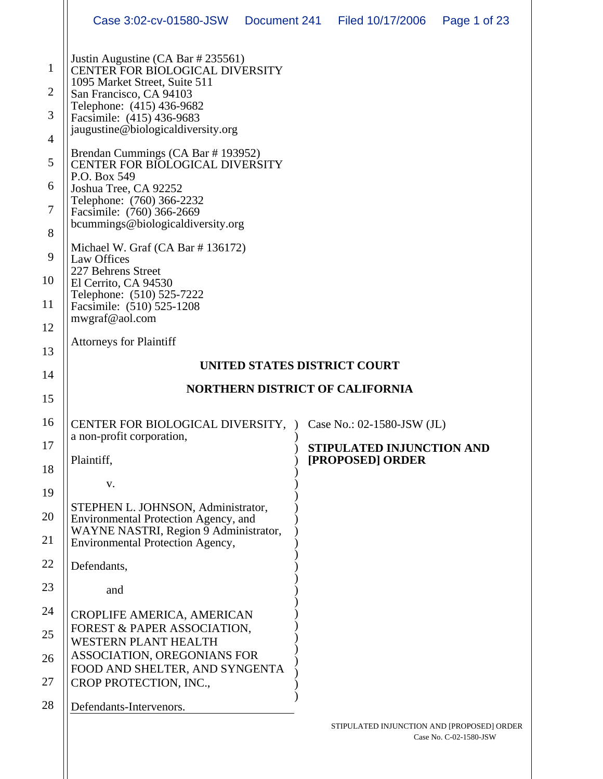|                                                                                                    | Case 3:02-cv-01580-JSW                                                                                                                                                                                                                                                                                                                                                                                                                                                                                                                                                                                                                       | Document 241 | Filed 10/17/2006          | Page 1 of 23 |
|----------------------------------------------------------------------------------------------------|----------------------------------------------------------------------------------------------------------------------------------------------------------------------------------------------------------------------------------------------------------------------------------------------------------------------------------------------------------------------------------------------------------------------------------------------------------------------------------------------------------------------------------------------------------------------------------------------------------------------------------------------|--------------|---------------------------|--------------|
| $\mathbf{1}$<br>$\overline{2}$<br>3<br>4<br>5<br>6<br>$\boldsymbol{7}$<br>8<br>9<br>10<br>11<br>12 | Justin Augustine (CA Bar # 235561)<br>CENTER FOR BIOLOGICAL DIVERSITY<br>1095 Market Street, Suite 511<br>San Francisco, CA 94103<br>Telephone: (415) 436-9682<br>Facsimile: (415) 436-9683<br>jaugustine@biologicaldiversity.org<br>Brendan Cummings (CA Bar #193952)<br><b>CENTER FOR BIOLOGICAL DIVERSITY</b><br>P.O. Box 549<br>Joshua Tree, CA 92252<br>Telephone: (760) 366-2232<br>Facsimile: (760) 366-2669<br>bcummings@biologicaldiversity.org<br>Michael W. Graf (CA Bar #136172)<br><b>Law Offices</b><br>227 Behrens Street<br>El Cerrito, CA 94530<br>Telephone: (510) 525-7222<br>Facsimile: (510) 525-1208<br>mwgraf@aol.com |              |                           |              |
| 13                                                                                                 | <b>Attorneys for Plaintiff</b>                                                                                                                                                                                                                                                                                                                                                                                                                                                                                                                                                                                                               |              |                           |              |
| 14                                                                                                 | UNITED STATES DISTRICT COURT                                                                                                                                                                                                                                                                                                                                                                                                                                                                                                                                                                                                                 |              |                           |              |
| 15                                                                                                 | <b>NORTHERN DISTRICT OF CALIFORNIA</b>                                                                                                                                                                                                                                                                                                                                                                                                                                                                                                                                                                                                       |              |                           |              |
| 16                                                                                                 | CENTER FOR BIOLOGICAL DIVERSITY, ) Case No.: 02-1580-JSW (JL)                                                                                                                                                                                                                                                                                                                                                                                                                                                                                                                                                                                |              |                           |              |
|                                                                                                    | a non-profit corporation.                                                                                                                                                                                                                                                                                                                                                                                                                                                                                                                                                                                                                    |              | STIPULATED INJUNCTION AND |              |
| 17                                                                                                 |                                                                                                                                                                                                                                                                                                                                                                                                                                                                                                                                                                                                                                              |              |                           |              |
| 18                                                                                                 | Plaintiff,                                                                                                                                                                                                                                                                                                                                                                                                                                                                                                                                                                                                                                   |              | [PROPOSED] ORDER          |              |
| 19                                                                                                 | V.                                                                                                                                                                                                                                                                                                                                                                                                                                                                                                                                                                                                                                           |              |                           |              |
| 20                                                                                                 | STEPHEN L. JOHNSON, Administrator,<br>Environmental Protection Agency, and                                                                                                                                                                                                                                                                                                                                                                                                                                                                                                                                                                   |              |                           |              |
| 21                                                                                                 | WAYNE NASTRI, Region 9 Administrator,<br>Environmental Protection Agency,                                                                                                                                                                                                                                                                                                                                                                                                                                                                                                                                                                    |              |                           |              |
| 22                                                                                                 | Defendants,                                                                                                                                                                                                                                                                                                                                                                                                                                                                                                                                                                                                                                  |              |                           |              |
| 23                                                                                                 | and                                                                                                                                                                                                                                                                                                                                                                                                                                                                                                                                                                                                                                          |              |                           |              |
| 24                                                                                                 | CROPLIFE AMERICA, AMERICAN                                                                                                                                                                                                                                                                                                                                                                                                                                                                                                                                                                                                                   |              |                           |              |
| 25                                                                                                 | FOREST & PAPER ASSOCIATION,<br><b>WESTERN PLANT HEALTH</b>                                                                                                                                                                                                                                                                                                                                                                                                                                                                                                                                                                                   |              |                           |              |
| 26                                                                                                 | ASSOCIATION, OREGONIANS FOR                                                                                                                                                                                                                                                                                                                                                                                                                                                                                                                                                                                                                  |              |                           |              |
| 27                                                                                                 | FOOD AND SHELTER, AND SYNGENTA<br>CROP PROTECTION, INC.,                                                                                                                                                                                                                                                                                                                                                                                                                                                                                                                                                                                     |              |                           |              |
| 28                                                                                                 | Defendants-Intervenors.                                                                                                                                                                                                                                                                                                                                                                                                                                                                                                                                                                                                                      |              |                           |              |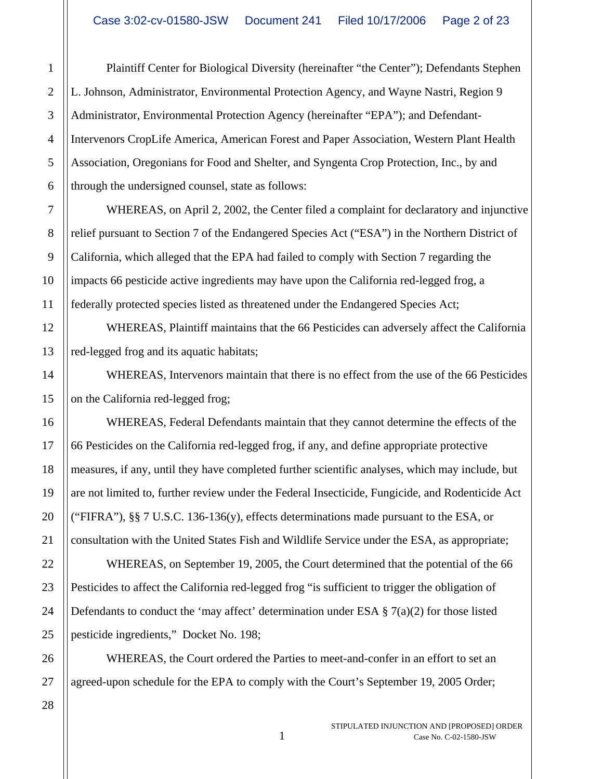Plaintiff Center for Biological Diversity (hereinafter "the Center"); Defendants Stephen L. Johnson, Administrator, Environmental Protection Agency, and Wayne Nastri, Region 9 Administrator, Environmental Protection Agency (hereinafter "EPA"); and Defendant-Intervenors CropLife America, American Forest and Paper Association, Western Plant Health Association, Oregonians for Food and Shelter, and Syngenta Crop Protection, Inc., by and through the undersigned counsel, state as follows:

WHEREAS, on April 2, 2002, the Center filed a complaint for declaratory and injunctive relief pursuant to Section 7 of the Endangered Species Act ("ESA") in the Northern District of California, which alleged that the EPA had failed to comply with Section 7 regarding the impacts 66 pesticide active ingredients may have upon the California red-legged frog, a federally protected species listed as threatened under the Endangered Species Act;

WHEREAS, Plaintiff maintains that the 66 Pesticides can adversely affect the California red-legged frog and its aquatic habitats;

WHEREAS, Intervenors maintain that there is no effect from the use of the 66 Pesticides on the California red-legged frog;

WHEREAS, Federal Defendants maintain that they cannot determine the effects of the 66 Pesticides on the California red-legged frog, if any, and define appropriate protective measures, if any, until they have completed further scientific analyses, which may include, but are not limited to, further review under the Federal Insecticide, Fungicide, and Rodenticide Act ("FIFRA"),  $\S$  $\S$  7 U.S.C. 136-136(y), effects determinations made pursuant to the ESA, or consultation with the United States Fish and Wildlife Service under the ESA, as appropriate;

WHEREAS, on September 19, 2005, the Court determined that the potential of the 66 Pesticides to affect the California red-legged frog "is sufficient to trigger the obligation of Defendants to conduct the 'may affect' determination under ESA  $\S 7(a)(2)$  for those listed pesticide ingredients," Docket No. 198;

WHEREAS, the Court ordered the Parties to meet-and-confer in an effort to set an agreed-upon schedule for the EPA to comply with the Court's September 19, 2005 Order;

1

2

3

4

STIPULATED INJUNCTION AND [PROPOSED] ORDER 1 Case No. C-02-1580-JSW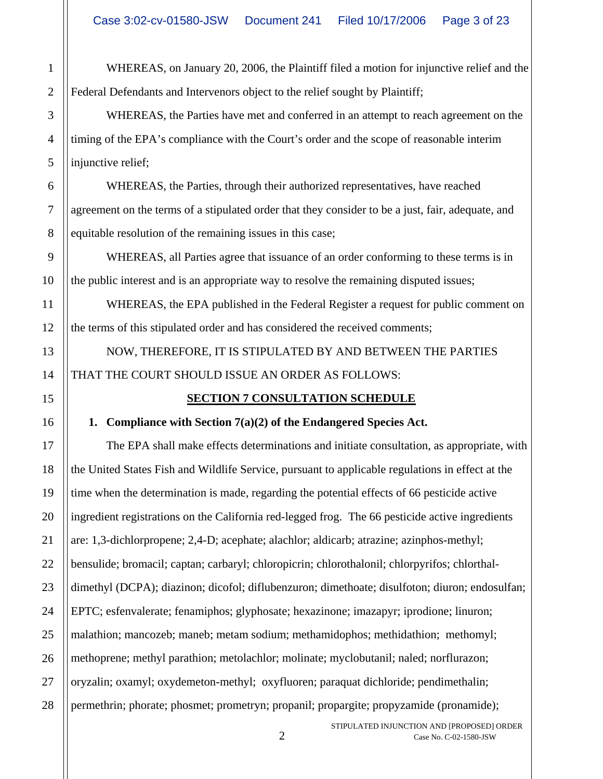WHEREAS, on January 20, 2006, the Plaintiff filed a motion for injunctive relief and the Federal Defendants and Intervenors object to the relief sought by Plaintiff;

WHEREAS, the Parties have met and conferred in an attempt to reach agreement on the timing of the EPA's compliance with the Court's order and the scope of reasonable interim injunctive relief;

WHEREAS, the Parties, through their authorized representatives, have reached agreement on the terms of a stipulated order that they consider to be a just, fair, adequate, and equitable resolution of the remaining issues in this case;

WHEREAS, all Parties agree that issuance of an order conforming to these terms is in the public interest and is an appropriate way to resolve the remaining disputed issues;

WHEREAS, the EPA published in the Federal Register a request for public comment on the terms of this stipulated order and has considered the received comments;

NOW, THEREFORE, IT IS STIPULATED BY AND BETWEEN THE PARTIES THAT THE COURT SHOULD ISSUE AN ORDER AS FOLLOWS:

# **SECTION 7 CONSULTATION SCHEDULE**

# **1. Compliance with Section 7(a)(2) of the Endangered Species Act.**

The EPA shall make effects determinations and initiate consultation, as appropriate, with the United States Fish and Wildlife Service, pursuant to applicable regulations in effect at the time when the determination is made, regarding the potential effects of 66 pesticide active ingredient registrations on the California red-legged frog. The 66 pesticide active ingredients are: 1,3-dichlorpropene; 2,4-D; acephate; alachlor; aldicarb; atrazine; azinphos-methyl; bensulide; bromacil; captan; carbaryl; chloropicrin; chlorothalonil; chlorpyrifos; chlorthaldimethyl (DCPA); diazinon; dicofol; diflubenzuron; dimethoate; disulfoton; diuron; endosulfan; EPTC; esfenvalerate; fenamiphos; glyphosate; hexazinone; imazapyr; iprodione; linuron; malathion; mancozeb; maneb; metam sodium; methamidophos; methidathion; methomyl; methoprene; methyl parathion; metolachlor; molinate; myclobutanil; naled; norflurazon; oryzalin; oxamyl; oxydemeton-methyl; oxyfluoren; paraquat dichloride; pendimethalin; permethrin; phorate; phosmet; prometryn; propanil; propargite; propyzamide (pronamide);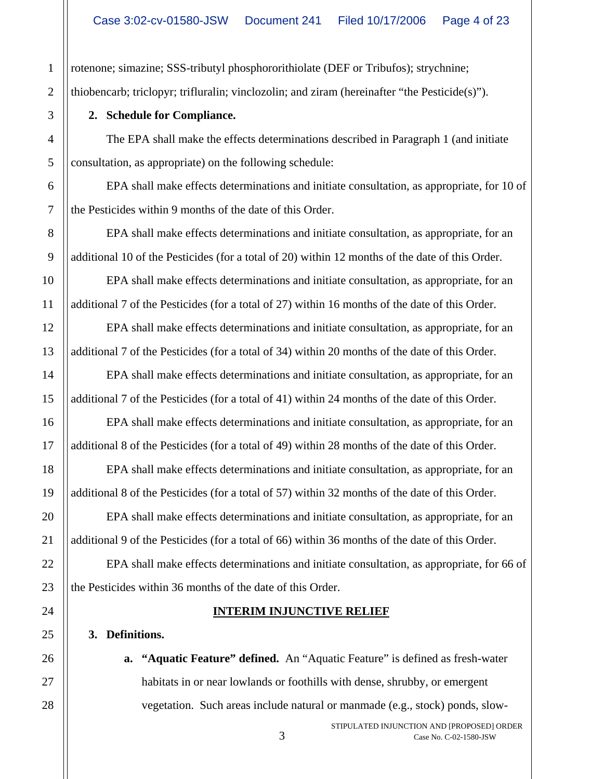rotenone; simazine; SSS-tributyl phosphororithiolate (DEF or Tribufos); strychnine; thiobencarb; triclopyr; trifluralin; vinclozolin; and ziram (hereinafter "the Pesticide(s)").

### **2. Schedule for Compliance.**

The EPA shall make the effects determinations described in Paragraph 1 (and initiate consultation, as appropriate) on the following schedule:

EPA shall make effects determinations and initiate consultation, as appropriate, for 10 of the Pesticides within 9 months of the date of this Order.

EPA shall make effects determinations and initiate consultation, as appropriate, for an additional 10 of the Pesticides (for a total of 20) within 12 months of the date of this Order.

EPA shall make effects determinations and initiate consultation, as appropriate, for an additional 7 of the Pesticides (for a total of 27) within 16 months of the date of this Order.

EPA shall make effects determinations and initiate consultation, as appropriate, for an additional 7 of the Pesticides (for a total of 34) within 20 months of the date of this Order.

EPA shall make effects determinations and initiate consultation, as appropriate, for an additional 7 of the Pesticides (for a total of 41) within 24 months of the date of this Order.

EPA shall make effects determinations and initiate consultation, as appropriate, for an additional 8 of the Pesticides (for a total of 49) within 28 months of the date of this Order.

EPA shall make effects determinations and initiate consultation, as appropriate, for an additional 8 of the Pesticides (for a total of 57) within 32 months of the date of this Order.

EPA shall make effects determinations and initiate consultation, as appropriate, for an additional 9 of the Pesticides (for a total of 66) within 36 months of the date of this Order.

EPA shall make effects determinations and initiate consultation, as appropriate, for 66 of the Pesticides within 36 months of the date of this Order.

# **INTERIM INJUNCTIVE RELIEF**

## **3. Definitions.**

**a. "Aquatic Feature" defined.** An "Aquatic Feature" is defined as fresh-water habitats in or near lowlands or foothills with dense, shrubby, or emergent vegetation. Such areas include natural or manmade (e.g., stock) ponds, slow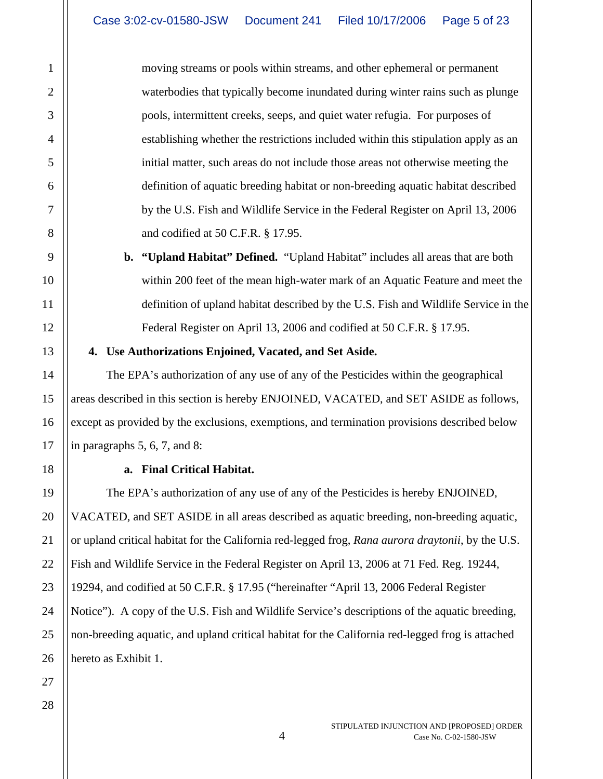moving streams or pools within streams, and other ephemeral or permanent waterbodies that typically become inundated during winter rains such as plunge pools, intermittent creeks, seeps, and quiet water refugia. For purposes of establishing whether the restrictions included within this stipulation apply as an initial matter, such areas do not include those areas not otherwise meeting the definition of aquatic breeding habitat or non-breeding aquatic habitat described by the U.S. Fish and Wildlife Service in the Federal Register on April 13, 2006 and codified at 50 C.F.R. § 17.95.

**b. "Upland Habitat" Defined.** "Upland Habitat" includes all areas that are both within 200 feet of the mean high-water mark of an Aquatic Feature and meet the definition of upland habitat described by the U.S. Fish and Wildlife Service in the Federal Register on April 13, 2006 and codified at 50 C.F.R. § 17.95.

**4. Use Authorizations Enjoined, Vacated, and Set Aside.** 

The EPA's authorization of any use of any of the Pesticides within the geographical areas described in this section is hereby ENJOINED, VACATED, and SET ASIDE as follows, except as provided by the exclusions, exemptions, and termination provisions described below in paragraphs 5, 6, 7, and 8:

# **a. Final Critical Habitat.**

The EPA's authorization of any use of any of the Pesticides is hereby ENJOINED, VACATED, and SET ASIDE in all areas described as aquatic breeding, non-breeding aquatic, or upland critical habitat for the California red-legged frog, *Rana aurora draytonii*, by the U.S. Fish and Wildlife Service in the Federal Register on April 13, 2006 at 71 Fed. Reg. 19244, 19294, and codified at 50 C.F.R. § 17.95 ("hereinafter "April 13, 2006 Federal Register Notice"). A copy of the U.S. Fish and Wildlife Service's descriptions of the aquatic breeding, non-breeding aquatic, and upland critical habitat for the California red-legged frog is attached hereto as Exhibit 1.

1

2

3

4

5

6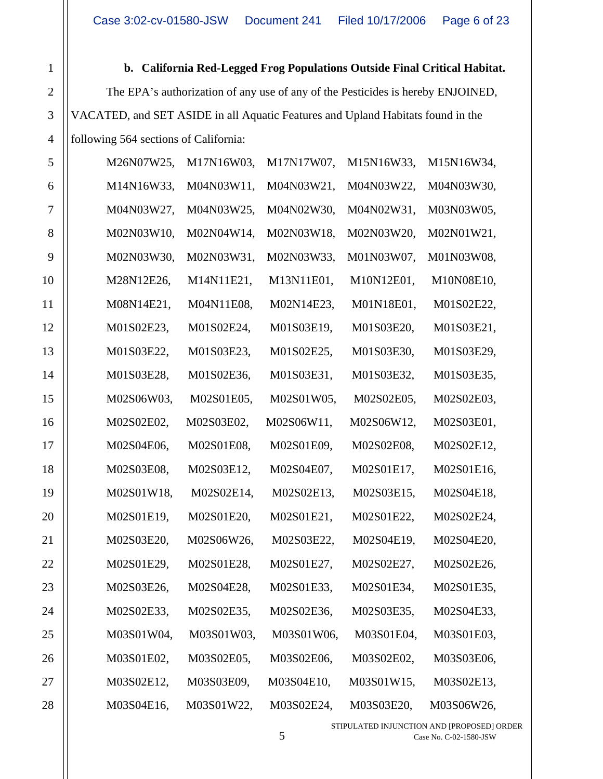**b. California Red-Legged Frog Populations Outside Final Critical Habitat.**  The EPA's authorization of any use of any of the Pesticides is hereby ENJOINED, VACATED, and SET ASIDE in all Aquatic Features and Upland Habitats found in the following 564 sections of California:

1

2

3

| 5              | M26N07W25, | M17N16W03, | M17N17W07, | M15N16W33, | M15N16W34, |
|----------------|------------|------------|------------|------------|------------|
| 6              | M14N16W33, | M04N03W11, | M04N03W21, | M04N03W22, | M04N03W30, |
| $\overline{7}$ | M04N03W27, | M04N03W25, | M04N02W30, | M04N02W31, | M03N03W05, |
| 8              | M02N03W10, | M02N04W14, | M02N03W18, | M02N03W20, | M02N01W21, |
| 9              | M02N03W30, | M02N03W31, | M02N03W33, | M01N03W07, | M01N03W08, |
| 10             | M28N12E26, | M14N11E21, | M13N11E01, | M10N12E01, | M10N08E10, |
| 11             | M08N14E21, | M04N11E08, | M02N14E23, | M01N18E01, | M01S02E22, |
| 12             | M01S02E23, | M01S02E24, | M01S03E19, | M01S03E20, | M01S03E21, |
| 13             | M01S03E22, | M01S03E23, | M01S02E25, | M01S03E30, | M01S03E29, |
| 14             | M01S03E28, | M01S02E36, | M01S03E31, | M01S03E32, | M01S03E35, |
| 15             | M02S06W03, | M02S01E05, | M02S01W05, | M02S02E05, | M02S02E03, |
| 16             | M02S02E02, | M02S03E02, | M02S06W11, | M02S06W12, | M02S03E01, |
| 17             | M02S04E06, | M02S01E08, | M02S01E09, | M02S02E08, | M02S02E12, |
| 18             | M02S03E08, | M02S03E12, | M02S04E07, | M02S01E17, | M02S01E16, |
| 19             | M02S01W18, | M02S02E14, | M02S02E13, | M02S03E15, | M02S04E18, |
| 20             | M02S01E19, | M02S01E20, | M02S01E21, | M02S01E22, | M02S02E24, |
| 21             | M02S03E20, | M02S06W26, | M02S03E22, | M02S04E19, | M02S04E20, |
| 22             | M02S01E29, | M02S01E28, | M02S01E27, | M02S02E27, | M02S02E26, |
| 23             | M02S03E26, | M02S04E28, | M02S01E33, | M02S01E34, | M02S01E35, |
| 24             | M02S02E33, | M02S02E35, | M02S02E36, | M02S03E35, | M02S04E33, |
| 25             | M03S01W04, | M03S01W03, | M03S01W06, | M03S01E04, | M03S01E03, |
| 26             | M03S01E02, | M03S02E05, | M03S02E06, | M03S02E02, | M03S03E06, |
| 27             | M03S02E12, | M03S03E09, | M03S04E10, | M03S01W15, | M03S02E13, |
| 28             | M03S04E16, | M03S01W22, | M03S02E24, | M03S03E20, | M03S06W26, |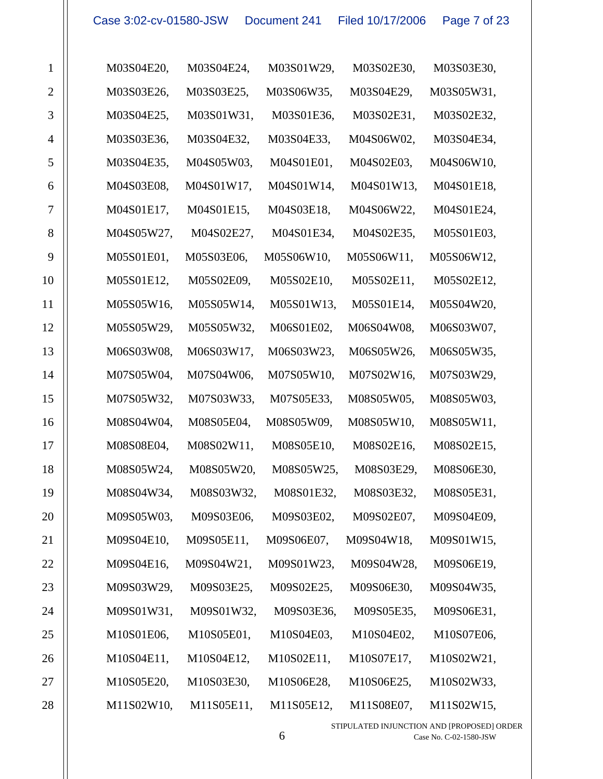| $\mathbf{1}$     | M03S04E20, | M03S04E24, | M03S01W29, | M03S02E30, | M03S03E30, |  |
|------------------|------------|------------|------------|------------|------------|--|
| $\overline{2}$   | M03S03E26, | M03S03E25, | M03S06W35, | M03S04E29, | M03S05W31, |  |
| $\overline{3}$   | M03S04E25, | M03S01W31, | M03S01E36, | M03S02E31, | M03S02E32, |  |
| $\overline{4}$   | M03S03E36, | M03S04E32, | M03S04E33, | M04S06W02, | M03S04E34, |  |
| 5                | M03S04E35, | M04S05W03, | M04S01E01, | M04S02E03, | M04S06W10, |  |
| 6                | M04S03E08, | M04S01W17, | M04S01W14, | M04S01W13, | M04S01E18, |  |
| $\boldsymbol{7}$ | M04S01E17, | M04S01E15, | M04S03E18, | M04S06W22, | M04S01E24, |  |
| 8                | M04S05W27, | M04S02E27, | M04S01E34, | M04S02E35, | M05S01E03, |  |
| 9                | M05S01E01, | M05S03E06, | M05S06W10, | M05S06W11, | M05S06W12, |  |
| 10               | M05S01E12, | M05S02E09, | M05S02E10, | M05S02E11, | M05S02E12, |  |
| 11               | M05S05W16, | M05S05W14, | M05S01W13, | M05S01E14, | M05S04W20, |  |
| 12               | M05S05W29, | M05S05W32, | M06S01E02, | M06S04W08, | M06S03W07, |  |
| 13               | M06S03W08, | M06S03W17, | M06S03W23, | M06S05W26, | M06S05W35, |  |
| 14               | M07S05W04, | M07S04W06, | M07S05W10, | M07S02W16, | M07S03W29, |  |
| 15               | M07S05W32, | M07S03W33, | M07S05E33, | M08S05W05, | M08S05W03, |  |
| 16               | M08S04W04, | M08S05E04, | M08S05W09, | M08S05W10, | M08S05W11, |  |
| 17               | M08S08E04, | M08S02W11, | M08S05E10, | M08S02E16, | M08S02E15, |  |
| 18               | M08S05W24, | M08S05W20, | M08S05W25, | M08S03E29, | M08S06E30, |  |
| 19               | M08S04W34, | M08S03W32, | M08S01E32, | M08S03E32, | M08S05E31, |  |
| 20               | M09S05W03, | M09S03E06, | M09S03E02, | M09S02E07, | M09S04E09, |  |
| 21               | M09S04E10, | M09S05E11, | M09S06E07, | M09S04W18, | M09S01W15, |  |
| 22               | M09S04E16, | M09S04W21, | M09S01W23, | M09S04W28, | M09S06E19, |  |
| 23               | M09S03W29, | M09S03E25, | M09S02E25, | M09S06E30, | M09S04W35, |  |
| 24               | M09S01W31, | M09S01W32, | M09S03E36, | M09S05E35, | M09S06E31, |  |
| 25               | M10S01E06, | M10S05E01, | M10S04E03, | M10S04E02, | M10S07E06, |  |
| 26               | M10S04E11, | M10S04E12, | M10S02E11, | M10S07E17, | M10S02W21, |  |
| 27               | M10S05E20, | M10S03E30, | M10S06E28, | M10S06E25, | M10S02W33, |  |
| 28               | M11S02W10, | M11S05E11, | M11S05E12, | M11S08E07, | M11S02W15, |  |

STIPULATED INJUNCTION AND [PROPOSED] ORDER 6 Case No. C-02-1580-JSW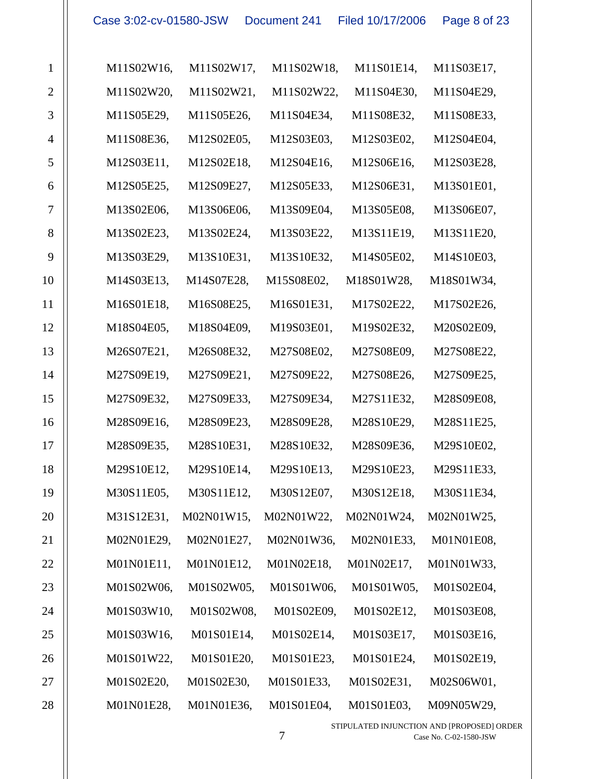| $\mathbf{1}$   | M11S02W16, | M11S02W17, | M11S02W18, | M11S01E14, | M11S03E17, |  |
|----------------|------------|------------|------------|------------|------------|--|
| $\overline{2}$ | M11S02W20, | M11S02W21, | M11S02W22, | M11S04E30, | M11S04E29, |  |
| 3              | M11S05E29, | M11S05E26, | M11S04E34, | M11S08E32, | M11S08E33, |  |
| $\overline{4}$ | M11S08E36, | M12S02E05, | M12S03E03, | M12S03E02, | M12S04E04, |  |
| 5              | M12S03E11, | M12S02E18, | M12S04E16, | M12S06E16, | M12S03E28, |  |
| 6              | M12S05E25, | M12S09E27, | M12S05E33, | M12S06E31, | M13S01E01, |  |
| $\overline{7}$ | M13S02E06, | M13S06E06, | M13S09E04, | M13S05E08, | M13S06E07, |  |
| 8              | M13S02E23, | M13S02E24, | M13S03E22, | M13S11E19, | M13S11E20, |  |
| 9              | M13S03E29, | M13S10E31, | M13S10E32, | M14S05E02, | M14S10E03, |  |
| 10             | M14S03E13, | M14S07E28, | M15S08E02, | M18S01W28, | M18S01W34, |  |
| 11             | M16S01E18, | M16S08E25, | M16S01E31, | M17S02E22, | M17S02E26, |  |
| 12             | M18S04E05, | M18S04E09, | M19S03E01, | M19S02E32, | M20S02E09, |  |
| 13             | M26S07E21, | M26S08E32, | M27S08E02, | M27S08E09, | M27S08E22, |  |
| 14             | M27S09E19, | M27S09E21, | M27S09E22, | M27S08E26, | M27S09E25, |  |
| 15             | M27S09E32, | M27S09E33, | M27S09E34, | M27S11E32, | M28S09E08, |  |
| 16             | M28S09E16, | M28S09E23, | M28S09E28, | M28S10E29, | M28S11E25, |  |
| 17             | M28S09E35, | M28S10E31, | M28S10E32, | M28S09E36, | M29S10E02, |  |
| 18             | M29S10E12, | M29S10E14, | M29S10E13, | M29S10E23, | M29S11E33, |  |
| 19             | M30S11E05, | M30S11E12, | M30S12E07, | M30S12E18, | M30S11E34, |  |
| 20             | M31S12E31, | M02N01W15, | M02N01W22, | M02N01W24, | M02N01W25, |  |
| 21             | M02N01E29, | M02N01E27, | M02N01W36, | M02N01E33, | M01N01E08, |  |
| 22             | M01N01E11, | M01N01E12, | M01N02E18, | M01N02E17, | M01N01W33, |  |
| 23             | M01S02W06, | M01S02W05, | M01S01W06, | M01S01W05, | M01S02E04, |  |
| 24             | M01S03W10, | M01S02W08, | M01S02E09, | M01S02E12, | M01S03E08, |  |
| 25             | M01S03W16, | M01S01E14, | M01S02E14, | M01S03E17, | M01S03E16, |  |
| 26             | M01S01W22, | M01S01E20, | M01S01E23, | M01S01E24, | M01S02E19, |  |
| 27             | M01S02E20, | M01S02E30, | M01S01E33, | M01S02E31, | M02S06W01, |  |
| 28             | M01N01E28, | M01N01E36, | M01S01E04, | M01S01E03, | M09N05W29, |  |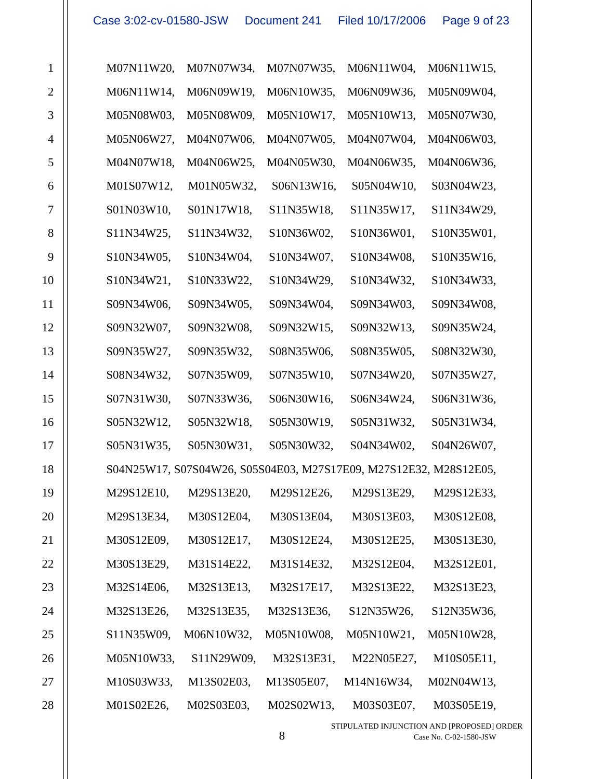| $\mathbf{1}$   | M07N11W20, | M07N07W34, | M07N07W35, | M06N11W04,                                                        | M06N11W15, |
|----------------|------------|------------|------------|-------------------------------------------------------------------|------------|
| $\overline{2}$ | M06N11W14, | M06N09W19, | M06N10W35, | M06N09W36,                                                        | M05N09W04, |
| 3              | M05N08W03, | M05N08W09, | M05N10W17, | M05N10W13,                                                        | M05N07W30, |
| $\overline{4}$ | M05N06W27, | M04N07W06, | M04N07W05, | M04N07W04,                                                        | M04N06W03, |
| 5              | M04N07W18, | M04N06W25, | M04N05W30, | M04N06W35,                                                        | M04N06W36, |
| 6              | M01S07W12, | M01N05W32, | S06N13W16, | S05N04W10,                                                        | S03N04W23, |
| $\tau$         | S01N03W10, | S01N17W18, | S11N35W18, | S11N35W17,                                                        | S11N34W29, |
| 8              | S11N34W25, | S11N34W32, | S10N36W02, | S10N36W01,                                                        | S10N35W01, |
| 9              | S10N34W05, | S10N34W04, | S10N34W07, | S10N34W08,                                                        | S10N35W16, |
| 10             | S10N34W21, | S10N33W22, | S10N34W29, | S10N34W32,                                                        | S10N34W33, |
| 11             | S09N34W06, | S09N34W05, | S09N34W04, | S09N34W03,                                                        | S09N34W08, |
| 12             | S09N32W07, | S09N32W08, | S09N32W15, | S09N32W13,                                                        | S09N35W24, |
| 13             | S09N35W27, | S09N35W32, | S08N35W06, | S08N35W05,                                                        | S08N32W30, |
| 14             | S08N34W32, | S07N35W09, | S07N35W10, | S07N34W20,                                                        | S07N35W27, |
| 15             | S07N31W30, | S07N33W36, | S06N30W16, | S06N34W24,                                                        | S06N31W36, |
| 16             | S05N32W12, | S05N32W18, | S05N30W19, | S05N31W32,                                                        | S05N31W34, |
| 17             | S05N31W35, | S05N30W31, | S05N30W32, | S04N34W02,                                                        | S04N26W07, |
| 18             |            |            |            | S04N25W17, S07S04W26, S05S04E03, M27S17E09, M27S12E32, M28S12E05, |            |
| 19             | M29S12E10, | M29S13E20, | M29S12E26, | M29S13E29,                                                        | M29S12E33, |
| 20             | M29S13E34, | M30S12E04, | M30S13E04, | M30S13E03,                                                        | M30S12E08, |
| 21             | M30S12E09, | M30S12E17, | M30S12E24, | M30S12E25,                                                        | M30S13E30, |
| 22             | M30S13E29, | M31S14E22, | M31S14E32, | M32S12E04,                                                        | M32S12E01, |
| 23             | M32S14E06, | M32S13E13, | M32S17E17, | M32S13E22,                                                        | M32S13E23, |
| 24             | M32S13E26, | M32S13E35, | M32S13E36, | S12N35W26,                                                        | S12N35W36, |
| 25             | S11N35W09, | M06N10W32, | M05N10W08, | M05N10W21,                                                        | M05N10W28, |
| 26             | M05N10W33, | S11N29W09, | M32S13E31, | M22N05E27,                                                        | M10S05E11, |
| 27             | M10S03W33, | M13S02E03, | M13S05E07, | M14N16W34,                                                        | M02N04W13, |
| 28             | M01S02E26, | M02S03E03, | M02S02W13, | M03S03E07,                                                        | M03S05E19, |

STIPULATED INJUNCTION AND [PROPOSED] ORDER  $8$  Case No. C-02-1580-JSW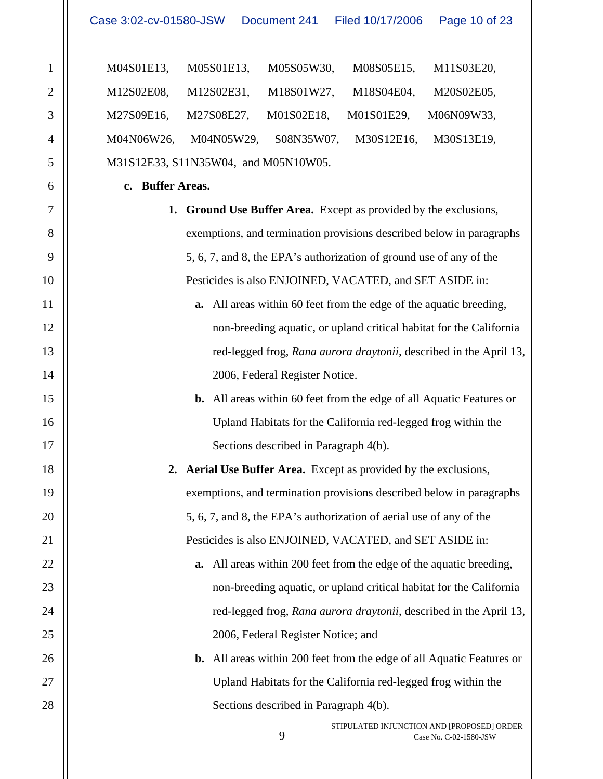| Case 3:02-cv-01580-JSW Document 241 |  | Filed 10/17/2006  Page 10 of 23 |  |
|-------------------------------------|--|---------------------------------|--|
|-------------------------------------|--|---------------------------------|--|

| M04S01E13. | M05S01E13,                           | M05S05W30, |                       | M08S05E15, M11S03E20, |
|------------|--------------------------------------|------------|-----------------------|-----------------------|
| M12S02E08. | M12S02E31,                           | M18S01W27, | M18S04E04,            | M20S02E05.            |
| M27S09E16. | M27S08E27,                           | M01S02E18, | M01S01E29,            | M06N09W33,            |
|            | M04N06W26, M04N05W29,                | S08N35W07. | M30S12E16, M30S13E19, |                       |
|            | M31S12E33, S11N35W04, and M05N10W05. |            |                       |                       |

**c. Buffer Areas.** 

- **1. Ground Use Buffer Area.** Except as provided by the exclusions, exemptions, and termination provisions described below in paragraphs 5, 6, 7, and 8, the EPA's authorization of ground use of any of the Pesticides is also ENJOINED, VACATED, and SET ASIDE in:
	- **a.** All areas within 60 feet from the edge of the aquatic breeding, non-breeding aquatic, or upland critical habitat for the California red-legged frog, *Rana aurora draytonii*, described in the April 13, 2006, Federal Register Notice.
		- **b.** All areas within 60 feet from the edge of all Aquatic Features or Upland Habitats for the California red-legged frog within the Sections described in Paragraph 4(b).

**2. Aerial Use Buffer Area.** Except as provided by the exclusions, exemptions, and termination provisions described below in paragraphs 5, 6, 7, and 8, the EPA's authorization of aerial use of any of the Pesticides is also ENJOINED, VACATED, and SET ASIDE in:

- **a.** All areas within 200 feet from the edge of the aquatic breeding, non-breeding aquatic, or upland critical habitat for the California red-legged frog, *Rana aurora draytonii*, described in the April 13, 2006, Federal Register Notice; and
- **b.** All areas within 200 feet from the edge of all Aquatic Features or Upland Habitats for the California red-legged frog within the Sections described in Paragraph 4(b).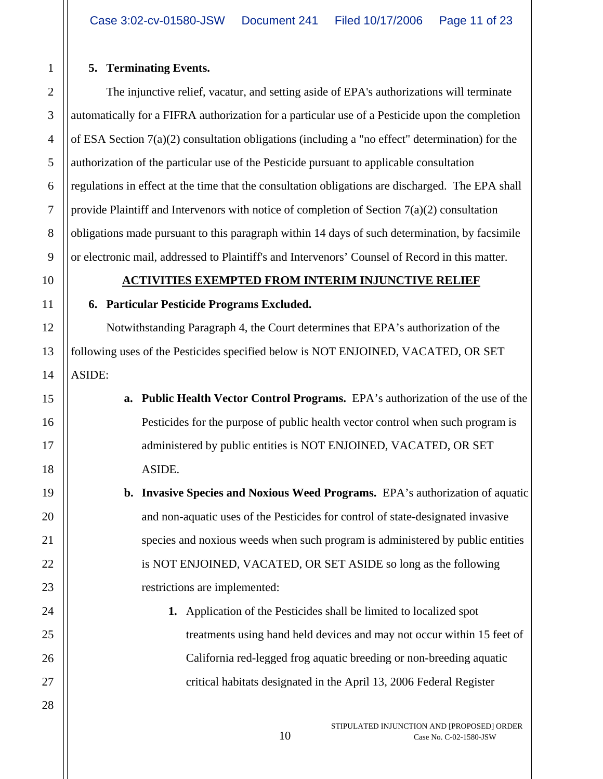# **5. Terminating Events.**

The injunctive relief, vacatur, and setting aside of EPA's authorizations will terminate automatically for a FIFRA authorization for a particular use of a Pesticide upon the completion of ESA Section 7(a)(2) consultation obligations (including a "no effect" determination) for the authorization of the particular use of the Pesticide pursuant to applicable consultation regulations in effect at the time that the consultation obligations are discharged. The EPA shall provide Plaintiff and Intervenors with notice of completion of Section  $7(a)(2)$  consultation obligations made pursuant to this paragraph within 14 days of such determination, by facsimile or electronic mail, addressed to Plaintiff's and Intervenors' Counsel of Record in this matter.

## **ACTIVITIES EXEMPTED FROM INTERIM INJUNCTIVE RELIEF**

# **6. Particular Pesticide Programs Excluded.**

Notwithstanding Paragraph 4, the Court determines that EPA's authorization of the following uses of the Pesticides specified below is NOT ENJOINED, VACATED, OR SET ASIDE:

- **a. Public Health Vector Control Programs.** EPA's authorization of the use of the Pesticides for the purpose of public health vector control when such program is administered by public entities is NOT ENJOINED, VACATED, OR SET ASIDE.
	- **b. Invasive Species and Noxious Weed Programs.** EPA's authorization of aquatic and non-aquatic uses of the Pesticides for control of state-designated invasive species and noxious weeds when such program is administered by public entities is NOT ENJOINED, VACATED, OR SET ASIDE so long as the following restrictions are implemented:
		- **1.** Application of the Pesticides shall be limited to localized spot treatments using hand held devices and may not occur within 15 feet of California red-legged frog aquatic breeding or non-breeding aquatic critical habitats designated in the April 13, 2006 Federal Register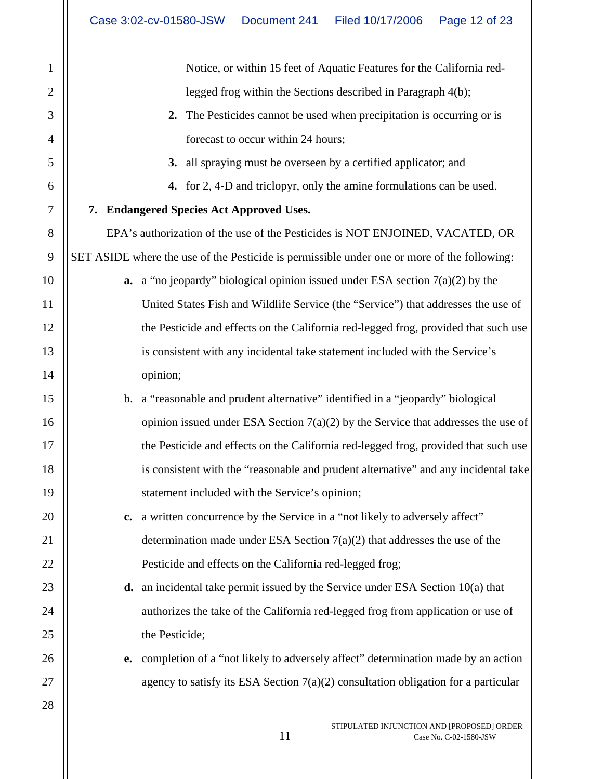| $\mathbf{1}$     | Notice, or within 15 feet of Aquatic Features for the California red-                       |
|------------------|---------------------------------------------------------------------------------------------|
| $\overline{2}$   | legged frog within the Sections described in Paragraph 4(b);                                |
| 3                | The Pesticides cannot be used when precipitation is occurring or is<br>2.                   |
| 4                | forecast to occur within 24 hours;                                                          |
| 5                | all spraying must be overseen by a certified applicator; and<br>3.                          |
| 6                | 4. for 2, 4-D and triclopyr, only the amine formulations can be used.                       |
| $\tau$           | 7. Endangered Species Act Approved Uses.                                                    |
| $8\,$            | EPA's authorization of the use of the Pesticides is NOT ENJOINED, VACATED, OR               |
| $\boldsymbol{9}$ | SET ASIDE where the use of the Pesticide is permissible under one or more of the following: |
| 10               | <b>a.</b> a "no jeopardy" biological opinion issued under ESA section $7(a)(2)$ by the      |
| 11               | United States Fish and Wildlife Service (the "Service") that addresses the use of           |
| 12               | the Pesticide and effects on the California red-legged frog, provided that such use         |
| 13               | is consistent with any incidental take statement included with the Service's                |
| 14               | opinion;                                                                                    |
| 15               | a "reasonable and prudent alternative" identified in a "jeopardy" biological<br>b.          |
| 16               | opinion issued under ESA Section $7(a)(2)$ by the Service that addresses the use of         |
| 17               | the Pesticide and effects on the California red-legged frog, provided that such use         |
| 18               | is consistent with the "reasonable and prudent alternative" and any incidental take         |
| 19               | statement included with the Service's opinion;                                              |
| 20               | a written concurrence by the Service in a "not likely to adversely affect"<br>$c_{\bullet}$ |
| 21               | determination made under ESA Section $7(a)(2)$ that addresses the use of the                |
| 22               | Pesticide and effects on the California red-legged frog;                                    |
| 23               | <b>d.</b> an incidental take permit issued by the Service under ESA Section $10(a)$ that    |
| 24               | authorizes the take of the California red-legged frog from application or use of            |
| 25               | the Pesticide;                                                                              |
| 26               | completion of a "not likely to adversely affect" determination made by an action<br>e.      |
| 27               | agency to satisfy its ESA Section $7(a)(2)$ consultation obligation for a particular        |
| 28               |                                                                                             |
|                  |                                                                                             |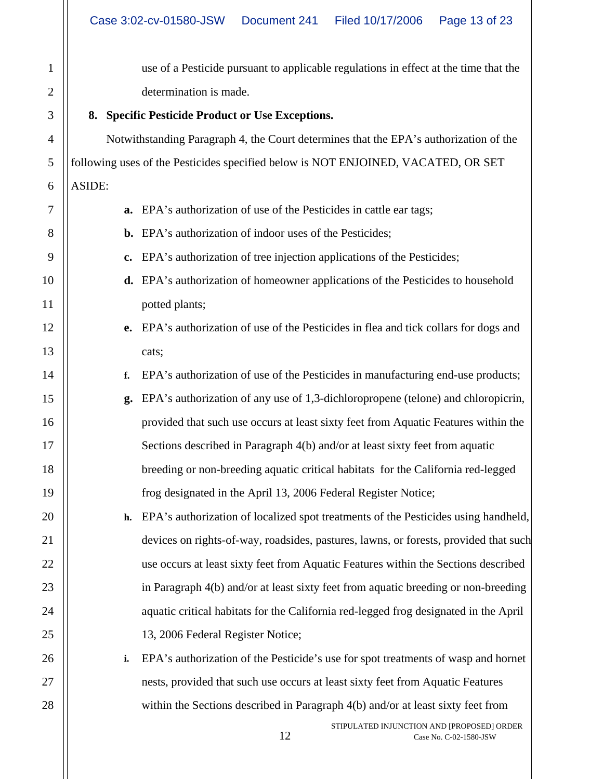| $\mathbf{1}$             |       |
|--------------------------|-------|
| $\overline{c}$           |       |
| 3                        | ξ     |
| $\overline{\mathcal{A}}$ |       |
| 5                        | follo |
| 6                        | ASII  |
| 7                        |       |
| 8                        |       |
| 9                        |       |
| 10                       |       |
| 11                       |       |
| 12                       |       |
| 13                       |       |
| 14                       |       |
| 15                       |       |
| 16                       |       |
| 17                       |       |
| 18                       |       |
| 19                       |       |
| 20                       |       |
| $\overline{21}$          |       |
| 22                       |       |
| 23                       |       |
| 24                       |       |
| 25                       |       |
| 26                       |       |
| 27                       |       |
| 28                       |       |

use of a Pesticide pursuant to applicable regulations in effect at the time that the determination is made.

# **8. Specific Pesticide Product or Use Exceptions.**

Notwithstanding Paragraph 4, the Court determines that the EPA's authorization of the wing uses of the Pesticides specified below is NOT ENJOINED, VACATED, OR SET DE:

- **a.** EPA's authorization of use of the Pesticides in cattle ear tags;
- **b.** EPA's authorization of indoor uses of the Pesticides;
- **c.** EPA's authorization of tree injection applications of the Pesticides;
- **d.** EPA's authorization of homeowner applications of the Pesticides to household potted plants;
- **e.** EPA's authorization of use of the Pesticides in flea and tick collars for dogs and cats;
- **f.** EPA's authorization of use of the Pesticides in manufacturing end-use products;
- **g.** EPA's authorization of any use of 1,3-dichloropropene (telone) and chloropicrin, provided that such use occurs at least sixty feet from Aquatic Features within the Sections described in Paragraph 4(b) and/or at least sixty feet from aquatic breeding or non-breeding aquatic critical habitats for the California red-legged frog designated in the April 13, 2006 Federal Register Notice;

**h.** EPA's authorization of localized spot treatments of the Pesticides using handheld, devices on rights-of-way, roadsides, pastures, lawns, or forests, provided that such use occurs at least sixty feet from Aquatic Features within the Sections described in Paragraph 4(b) and/or at least sixty feet from aquatic breeding or non-breeding aquatic critical habitats for the California red-legged frog designated in the April 13, 2006 Federal Register Notice;

**i.** EPA's authorization of the Pesticide's use for spot treatments of wasp and hornet nests, provided that such use occurs at least sixty feet from Aquatic Features within the Sections described in Paragraph 4(b) and/or at least sixty feet from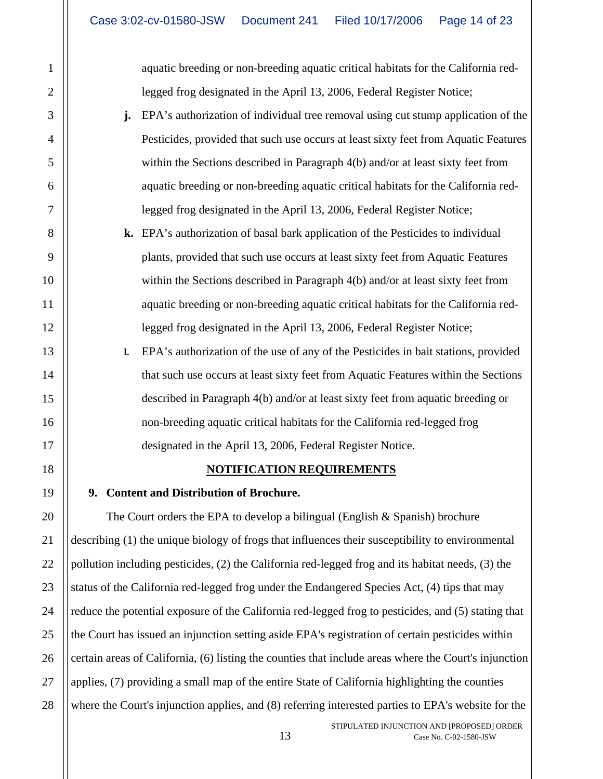aquatic breeding or non-breeding aquatic critical habitats for the California redlegged frog designated in the April 13, 2006, Federal Register Notice;

- **j.** EPA's authorization of individual tree removal using cut stump application of the Pesticides, provided that such use occurs at least sixty feet from Aquatic Features within the Sections described in Paragraph 4(b) and/or at least sixty feet from aquatic breeding or non-breeding aquatic critical habitats for the California redlegged frog designated in the April 13, 2006, Federal Register Notice;
- **k.** EPA's authorization of basal bark application of the Pesticides to individual plants, provided that such use occurs at least sixty feet from Aquatic Features within the Sections described in Paragraph 4(b) and/or at least sixty feet from aquatic breeding or non-breeding aquatic critical habitats for the California redlegged frog designated in the April 13, 2006, Federal Register Notice;
- **l.** EPA's authorization of the use of any of the Pesticides in bait stations, provided that such use occurs at least sixty feet from Aquatic Features within the Sections described in Paragraph 4(b) and/or at least sixty feet from aquatic breeding or non-breeding aquatic critical habitats for the California red-legged frog designated in the April 13, 2006, Federal Register Notice.

## **NOTIFICATION REQUIREMENTS**

## **9. Content and Distribution of Brochure.**

The Court orders the EPA to develop a bilingual (English  $\&$  Spanish) brochure describing (1) the unique biology of frogs that influences their susceptibility to environmental pollution including pesticides, (2) the California red-legged frog and its habitat needs, (3) the status of the California red-legged frog under the Endangered Species Act, (4) tips that may reduce the potential exposure of the California red-legged frog to pesticides, and (5) stating that the Court has issued an injunction setting aside EPA's registration of certain pesticides within certain areas of California, (6) listing the counties that include areas where the Court's injunction applies, (7) providing a small map of the entire State of California highlighting the counties where the Court's injunction applies, and (8) referring interested parties to EPA's website for the

1

2

3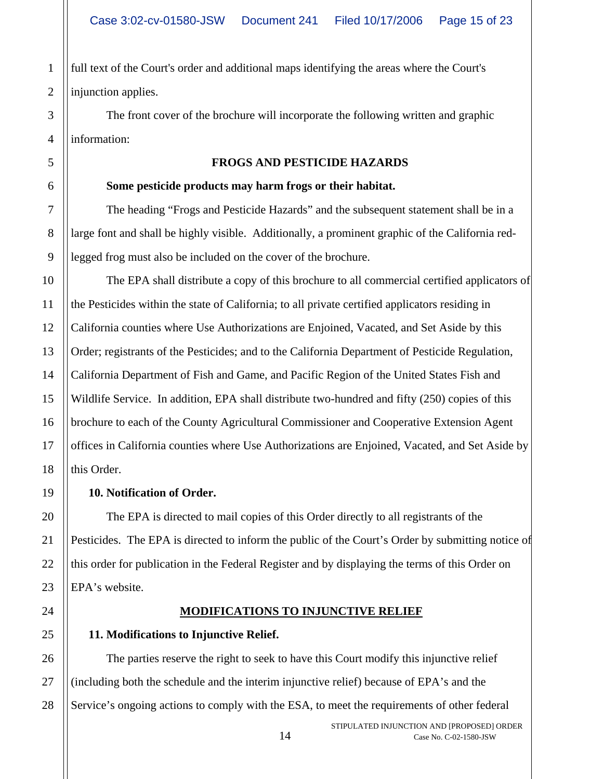full text of the Court's order and additional maps identifying the areas where the Court's injunction applies.

The front cover of the brochure will incorporate the following written and graphic information:

#### **FROGS AND PESTICIDE HAZARDS**

#### **Some pesticide products may harm frogs or their habitat.**

The heading "Frogs and Pesticide Hazards" and the subsequent statement shall be in a large font and shall be highly visible. Additionally, a prominent graphic of the California redlegged frog must also be included on the cover of the brochure.

The EPA shall distribute a copy of this brochure to all commercial certified applicators of the Pesticides within the state of California; to all private certified applicators residing in California counties where Use Authorizations are Enjoined, Vacated, and Set Aside by this Order; registrants of the Pesticides; and to the California Department of Pesticide Regulation, California Department of Fish and Game, and Pacific Region of the United States Fish and Wildlife Service. In addition, EPA shall distribute two-hundred and fifty (250) copies of this brochure to each of the County Agricultural Commissioner and Cooperative Extension Agent offices in California counties where Use Authorizations are Enjoined, Vacated, and Set Aside by this Order.

## **10. Notification of Order.**

The EPA is directed to mail copies of this Order directly to all registrants of the Pesticides. The EPA is directed to inform the public of the Court's Order by submitting notice of this order for publication in the Federal Register and by displaying the terms of this Order on EPA's website.

# **MODIFICATIONS TO INJUNCTIVE RELIEF**

# **11. Modifications to Injunctive Relief.**

The parties reserve the right to seek to have this Court modify this injunctive relief (including both the schedule and the interim injunctive relief) because of EPA's and the Service's ongoing actions to comply with the ESA, to meet the requirements of other federal

1

2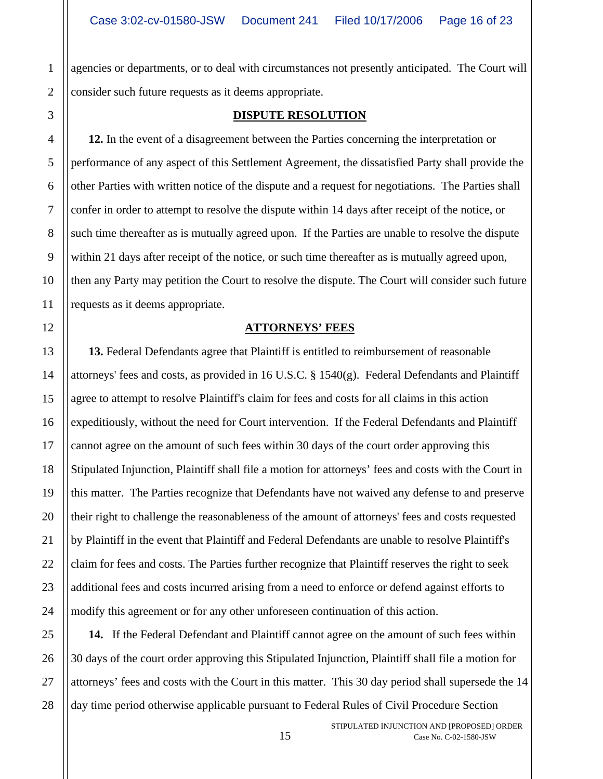agencies or departments, or to deal with circumstances not presently anticipated. The Court will consider such future requests as it deems appropriate.

#### **DISPUTE RESOLUTION**

**12.** In the event of a disagreement between the Parties concerning the interpretation or performance of any aspect of this Settlement Agreement, the dissatisfied Party shall provide the other Parties with written notice of the dispute and a request for negotiations. The Parties shall confer in order to attempt to resolve the dispute within 14 days after receipt of the notice, or such time thereafter as is mutually agreed upon. If the Parties are unable to resolve the dispute within 21 days after receipt of the notice, or such time thereafter as is mutually agreed upon, then any Party may petition the Court to resolve the dispute. The Court will consider such future requests as it deems appropriate.

#### **ATTORNEYS' FEES**

**13.** Federal Defendants agree that Plaintiff is entitled to reimbursement of reasonable attorneys' fees and costs, as provided in 16 U.S.C. § 1540(g). Federal Defendants and Plaintiff agree to attempt to resolve Plaintiff's claim for fees and costs for all claims in this action expeditiously, without the need for Court intervention. If the Federal Defendants and Plaintiff cannot agree on the amount of such fees within 30 days of the court order approving this Stipulated Injunction, Plaintiff shall file a motion for attorneys' fees and costs with the Court in this matter. The Parties recognize that Defendants have not waived any defense to and preserve their right to challenge the reasonableness of the amount of attorneys' fees and costs requested by Plaintiff in the event that Plaintiff and Federal Defendants are unable to resolve Plaintiff's claim for fees and costs. The Parties further recognize that Plaintiff reserves the right to seek additional fees and costs incurred arising from a need to enforce or defend against efforts to modify this agreement or for any other unforeseen continuation of this action.

**14.** If the Federal Defendant and Plaintiff cannot agree on the amount of such fees within 30 days of the court order approving this Stipulated Injunction, Plaintiff shall file a motion for attorneys' fees and costs with the Court in this matter. This 30 day period shall supersede the 14 day time period otherwise applicable pursuant to Federal Rules of Civil Procedure Section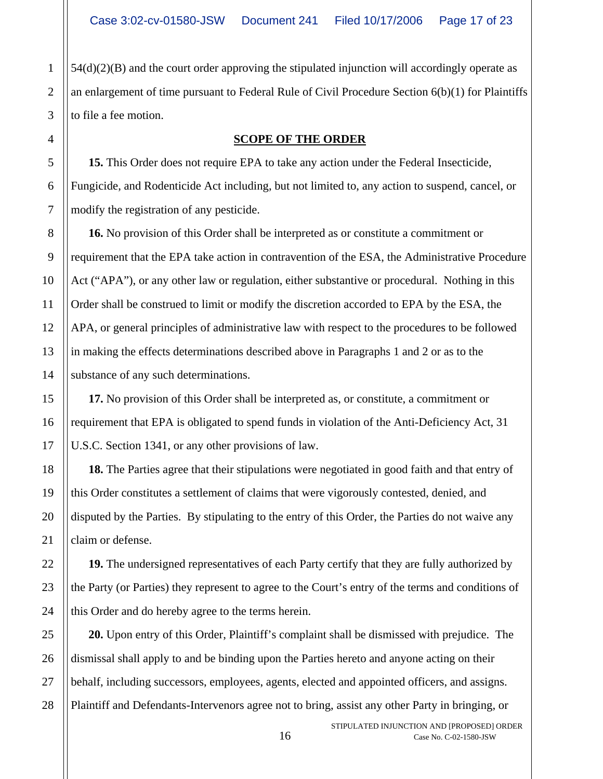54(d)(2)(B) and the court order approving the stipulated injunction will accordingly operate as an enlargement of time pursuant to Federal Rule of Civil Procedure Section 6(b)(1) for Plaintiffs to file a fee motion.

#### **SCOPE OF THE ORDER**

**15.** This Order does not require EPA to take any action under the Federal Insecticide, Fungicide, and Rodenticide Act including, but not limited to, any action to suspend, cancel, or modify the registration of any pesticide.

**16.** No provision of this Order shall be interpreted as or constitute a commitment or requirement that the EPA take action in contravention of the ESA, the Administrative Procedure Act ("APA"), or any other law or regulation, either substantive or procedural. Nothing in this Order shall be construed to limit or modify the discretion accorded to EPA by the ESA, the APA, or general principles of administrative law with respect to the procedures to be followed in making the effects determinations described above in Paragraphs 1 and 2 or as to the substance of any such determinations.

**17.** No provision of this Order shall be interpreted as, or constitute, a commitment or requirement that EPA is obligated to spend funds in violation of the Anti-Deficiency Act, 31 U.S.C. Section 1341, or any other provisions of law.

**18.** The Parties agree that their stipulations were negotiated in good faith and that entry of this Order constitutes a settlement of claims that were vigorously contested, denied, and disputed by the Parties. By stipulating to the entry of this Order, the Parties do not waive any claim or defense.

**19.** The undersigned representatives of each Party certify that they are fully authorized by the Party (or Parties) they represent to agree to the Court's entry of the terms and conditions of this Order and do hereby agree to the terms herein.

**20.** Upon entry of this Order, Plaintiff's complaint shall be dismissed with prejudice. The dismissal shall apply to and be binding upon the Parties hereto and anyone acting on their behalf, including successors, employees, agents, elected and appointed officers, and assigns. Plaintiff and Defendants-Intervenors agree not to bring, assist any other Party in bringing, or

1

2

3

4

5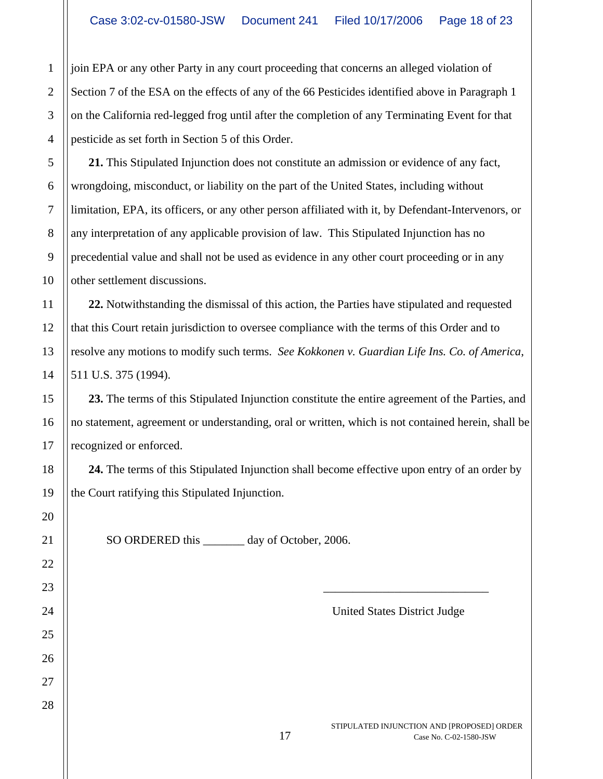join EPA or any other Party in any court proceeding that concerns an alleged violation of Section 7 of the ESA on the effects of any of the 66 Pesticides identified above in Paragraph 1 on the California red-legged frog until after the completion of any Terminating Event for that pesticide as set forth in Section 5 of this Order.

**21.** This Stipulated Injunction does not constitute an admission or evidence of any fact, wrongdoing, misconduct, or liability on the part of the United States, including without limitation, EPA, its officers, or any other person affiliated with it, by Defendant-Intervenors, or any interpretation of any applicable provision of law. This Stipulated Injunction has no precedential value and shall not be used as evidence in any other court proceeding or in any other settlement discussions.

**22.** Notwithstanding the dismissal of this action, the Parties have stipulated and requested that this Court retain jurisdiction to oversee compliance with the terms of this Order and to resolve any motions to modify such terms. *See Kokkonen v. Guardian Life Ins. Co. of America*, 511 U.S. 375 (1994).

**23.** The terms of this Stipulated Injunction constitute the entire agreement of the Parties, and no statement, agreement or understanding, oral or written, which is not contained herein, shall be recognized or enforced.

**24.** The terms of this Stipulated Injunction shall become effective upon entry of an order by the Court ratifying this Stipulated Injunction.

SO ORDERED this \_\_\_\_\_\_\_ day of October, 2006.

United States District Judge

\_\_\_\_\_\_\_\_\_\_\_\_\_\_\_\_\_\_\_\_\_\_\_\_\_\_\_\_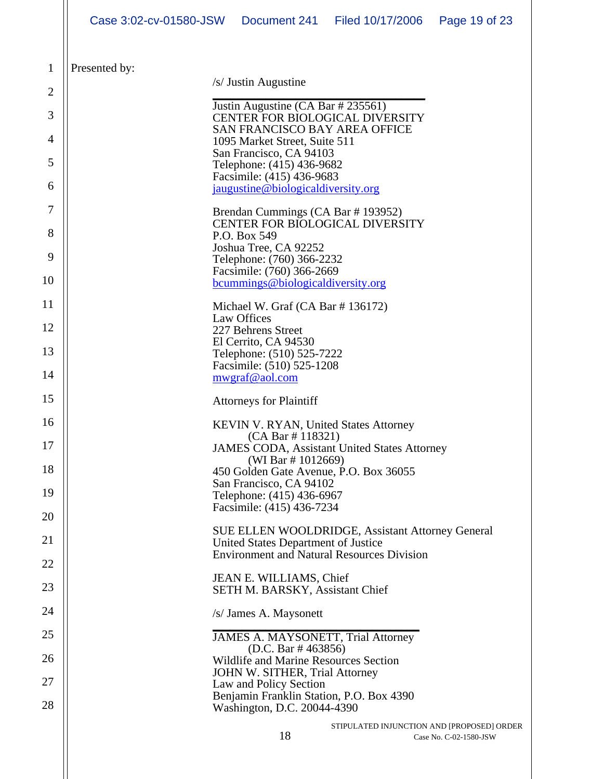|          | Case 3:02-cv-01580-JSW                                    |                                                                                                   | Document 241 Filed 10/17/2006              | Page 19 of 23          |  |  |
|----------|-----------------------------------------------------------|---------------------------------------------------------------------------------------------------|--------------------------------------------|------------------------|--|--|
| 1        | Presented by:                                             |                                                                                                   |                                            |                        |  |  |
| 2        |                                                           | /s/ Justin Augustine                                                                              |                                            |                        |  |  |
| 3        |                                                           | Justin Augustine (CA Bar # 235561)                                                                |                                            |                        |  |  |
| 4        |                                                           | <b>CENTER FOR BIOLOGICAL DIVERSITY</b><br><b>SAN FRANCISCO BAY AREA OFFICE</b>                    |                                            |                        |  |  |
| 5        | 1095 Market Street, Suite 511<br>San Francisco, CA 94103  |                                                                                                   |                                            |                        |  |  |
| 6        |                                                           | Telephone: (415) 436-9682<br>Facsimile: (415) 436-9683<br>jaugustine@biologicaldiversity.org      |                                            |                        |  |  |
| 7        |                                                           | Brendan Cummings (CA Bar #193952)                                                                 |                                            |                        |  |  |
| 8<br>9   |                                                           | CENTER FOR BIOLOGICAL DIVERSITY<br>P.O. Box 549<br>Joshua Tree, CA 92252                          |                                            |                        |  |  |
| 10       |                                                           | Telephone: (760) 366-2232<br>Facsimile: (760) 366-2669<br>bcummings@biologicaldiversity.org       |                                            |                        |  |  |
| 11       |                                                           | Michael W. Graf $(CA Bar # 136172)$                                                               |                                            |                        |  |  |
| 12       | Law Offices<br>227 Behrens Street<br>El Cerrito, CA 94530 |                                                                                                   |                                            |                        |  |  |
| 13<br>14 |                                                           | Telephone: (510) 525-7222<br>Facsimile: (510) 525-1208                                            |                                            |                        |  |  |
|          |                                                           | mwgraf@aol.com                                                                                    |                                            |                        |  |  |
| 15       |                                                           | <b>Attorneys for Plaintiff</b>                                                                    |                                            |                        |  |  |
| 16       |                                                           | <b>KEVIN V. RYAN, United States Attorney</b><br>(CA Bar # 118321)                                 |                                            |                        |  |  |
| 17       |                                                           | <b>JAMES CODA, Assistant United States Attorney</b><br>(WI Bar $\#$ 1012669)                      |                                            |                        |  |  |
| 18       |                                                           | 450 Golden Gate Avenue, P.O. Box 36055<br>San Francisco, CA 94102                                 |                                            |                        |  |  |
| 19       |                                                           | Telephone: (415) 436-6967<br>Facsimile: (415) 436-7234                                            |                                            |                        |  |  |
| 20       |                                                           | <b>SUE ELLEN WOOLDRIDGE, Assistant Attorney General</b>                                           |                                            |                        |  |  |
| 21       |                                                           | United States Department of Justice<br><b>Environment and Natural Resources Division</b>          |                                            |                        |  |  |
| 22       |                                                           | JEAN E. WILLIAMS, Chief                                                                           |                                            |                        |  |  |
| 23       |                                                           | <b>SETH M. BARSKY, Assistant Chief</b>                                                            |                                            |                        |  |  |
| 24       |                                                           | /s/ James A. Maysonett                                                                            |                                            |                        |  |  |
| 25       |                                                           | JAMES A. MAYSONETT, Trial Attorney<br>(D.C. Bar $\#$ 463856)                                      |                                            |                        |  |  |
| 26       |                                                           | Wildlife and Marine Resources Section<br>JOHN W. SITHER, Trial Attorney                           |                                            |                        |  |  |
| 27<br>28 |                                                           | Law and Policy Section<br>Benjamin Franklin Station, P.O. Box 4390<br>Washington, D.C. 20044-4390 |                                            |                        |  |  |
|          |                                                           | 18                                                                                                | STIPULATED INJUNCTION AND [PROPOSED] ORDER | Case No. C-02-1580-JSW |  |  |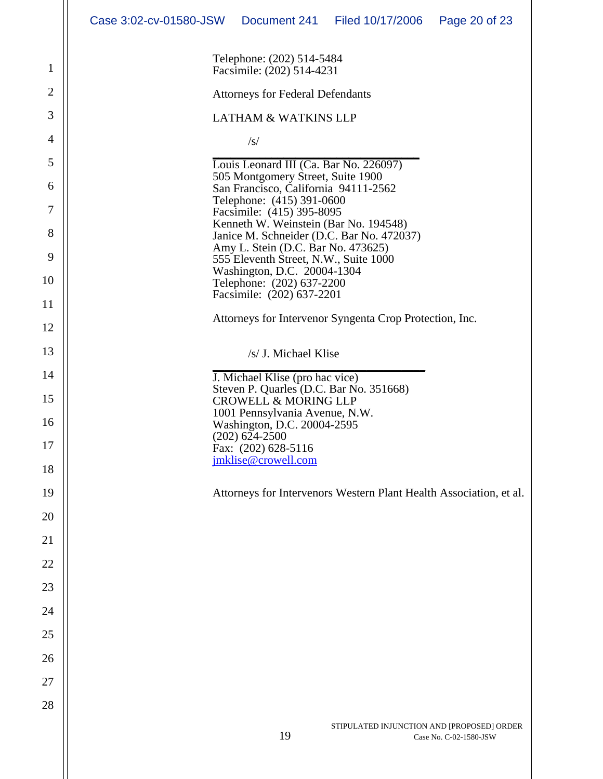|                | Case 3:02-cv-01580-JSW  Document 241  Filed 10/17/2006 |                                                                             |                                                                    | Page 20 of 23          |  |  |  |  |
|----------------|--------------------------------------------------------|-----------------------------------------------------------------------------|--------------------------------------------------------------------|------------------------|--|--|--|--|
| $\mathbf{1}$   | Telephone: (202) 514-5484<br>Facsimile: (202) 514-4231 |                                                                             |                                                                    |                        |  |  |  |  |
| $\mathfrak{2}$ | <b>Attorneys for Federal Defendants</b>                |                                                                             |                                                                    |                        |  |  |  |  |
| 3              |                                                        | <b>LATHAM &amp; WATKINS LLP</b>                                             |                                                                    |                        |  |  |  |  |
| 4              |                                                        | $\sqrt{s}$                                                                  |                                                                    |                        |  |  |  |  |
| 5              |                                                        | Louis Leonard III (Ca. Bar No. 226097)                                      |                                                                    |                        |  |  |  |  |
| 6              |                                                        | 505 Montgomery Street, Suite 1900<br>San Francisco, California 94111-2562   |                                                                    |                        |  |  |  |  |
| 7              |                                                        | Telephone: (415) 391-0600<br>Facsimile: (415) 395-8095                      |                                                                    |                        |  |  |  |  |
| 8              |                                                        | Kenneth W. Weinstein (Bar No. 194548)                                       | Janice M. Schneider (D.C. Bar No. 472037)                          |                        |  |  |  |  |
| 9              |                                                        | Amy L. Stein (D.C. Bar No. 473625)<br>555 Eleventh Street, N.W., Suite 1000 |                                                                    |                        |  |  |  |  |
| 10             |                                                        | Washington, D.C. 20004-1304<br>Telephone: (202) 637-2200                    |                                                                    |                        |  |  |  |  |
| 11             |                                                        | Facsimile: (202) 637-2201                                                   |                                                                    |                        |  |  |  |  |
| 12             |                                                        |                                                                             | Attorneys for Intervenor Syngenta Crop Protection, Inc.            |                        |  |  |  |  |
| 13             |                                                        | /s/ J. Michael Klise                                                        |                                                                    |                        |  |  |  |  |
| 14             |                                                        | J. Michael Klise (pro hac vice)                                             |                                                                    |                        |  |  |  |  |
| 15             |                                                        | <b>CROWELL &amp; MORING LLP</b>                                             | Steven P. Quarles (D.C. Bar No. 351668)                            |                        |  |  |  |  |
| 16             |                                                        | 1001 Pennsylvania Avenue, N.W.<br>Washington, D.C. 20004-2595               |                                                                    |                        |  |  |  |  |
| 17             |                                                        | $(202)$ 624-2500<br>Fax: (202) 628-5116                                     |                                                                    |                        |  |  |  |  |
| 18             |                                                        | jmklise@crowell.com                                                         |                                                                    |                        |  |  |  |  |
| 19             |                                                        |                                                                             | Attorneys for Intervenors Western Plant Health Association, et al. |                        |  |  |  |  |
| 20             |                                                        |                                                                             |                                                                    |                        |  |  |  |  |
| 21             |                                                        |                                                                             |                                                                    |                        |  |  |  |  |
| 22             |                                                        |                                                                             |                                                                    |                        |  |  |  |  |
| 23             |                                                        |                                                                             |                                                                    |                        |  |  |  |  |
| 24             |                                                        |                                                                             |                                                                    |                        |  |  |  |  |
| 25             |                                                        |                                                                             |                                                                    |                        |  |  |  |  |
| 26             |                                                        |                                                                             |                                                                    |                        |  |  |  |  |
| 27             |                                                        |                                                                             |                                                                    |                        |  |  |  |  |
| 28             |                                                        |                                                                             |                                                                    |                        |  |  |  |  |
|                |                                                        | 19                                                                          | STIPULATED INJUNCTION AND [PROPOSED] ORDER                         | Case No. C-02-1580-JSW |  |  |  |  |
|                |                                                        |                                                                             |                                                                    |                        |  |  |  |  |
|                |                                                        |                                                                             |                                                                    |                        |  |  |  |  |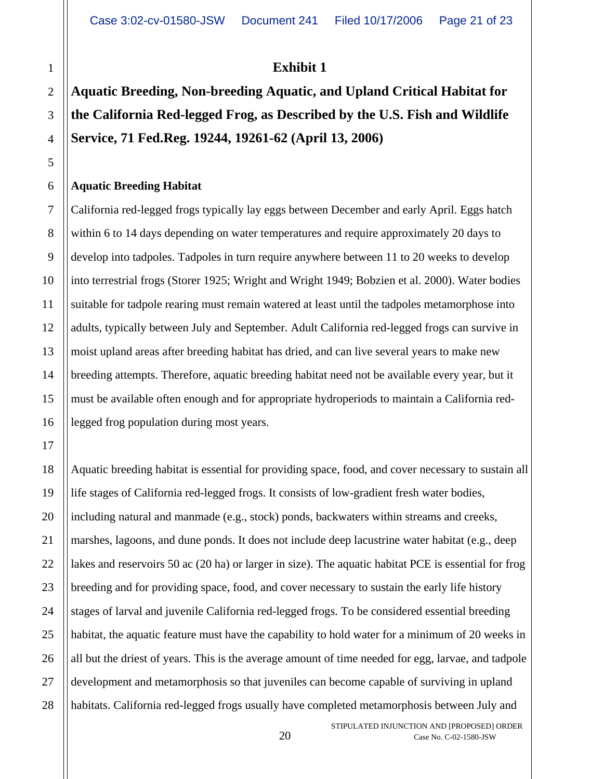# **Exhibit 1**

# **Aquatic Breeding, Non-breeding Aquatic, and Upland Critical Habitat for the California Red-legged Frog, as Described by the U.S. Fish and Wildlife Service, 71 Fed.Reg. 19244, 19261-62 (April 13, 2006)**

#### **Aquatic Breeding Habitat**

California red-legged frogs typically lay eggs between December and early April. Eggs hatch within 6 to 14 days depending on water temperatures and require approximately 20 days to develop into tadpoles. Tadpoles in turn require anywhere between 11 to 20 weeks to develop into terrestrial frogs (Storer 1925; Wright and Wright 1949; Bobzien et al. 2000). Water bodies suitable for tadpole rearing must remain watered at least until the tadpoles metamorphose into adults, typically between July and September. Adult California red-legged frogs can survive in moist upland areas after breeding habitat has dried, and can live several years to make new breeding attempts. Therefore, aquatic breeding habitat need not be available every year, but it must be available often enough and for appropriate hydroperiods to maintain a California redlegged frog population during most years.

Aquatic breeding habitat is essential for providing space, food, and cover necessary to sustain all life stages of California red-legged frogs. It consists of low-gradient fresh water bodies, including natural and manmade (e.g., stock) ponds, backwaters within streams and creeks, marshes, lagoons, and dune ponds. It does not include deep lacustrine water habitat (e.g., deep lakes and reservoirs 50 ac (20 ha) or larger in size). The aquatic habitat PCE is essential for frog breeding and for providing space, food, and cover necessary to sustain the early life history stages of larval and juvenile California red-legged frogs. To be considered essential breeding habitat, the aquatic feature must have the capability to hold water for a minimum of 20 weeks in all but the driest of years. This is the average amount of time needed for egg, larvae, and tadpole development and metamorphosis so that juveniles can become capable of surviving in upland habitats. California red-legged frogs usually have completed metamorphosis between July and

STIPULATED INJUNCTION AND [PROPOSED] ORDER 20 Case No. C-02-1580-JSW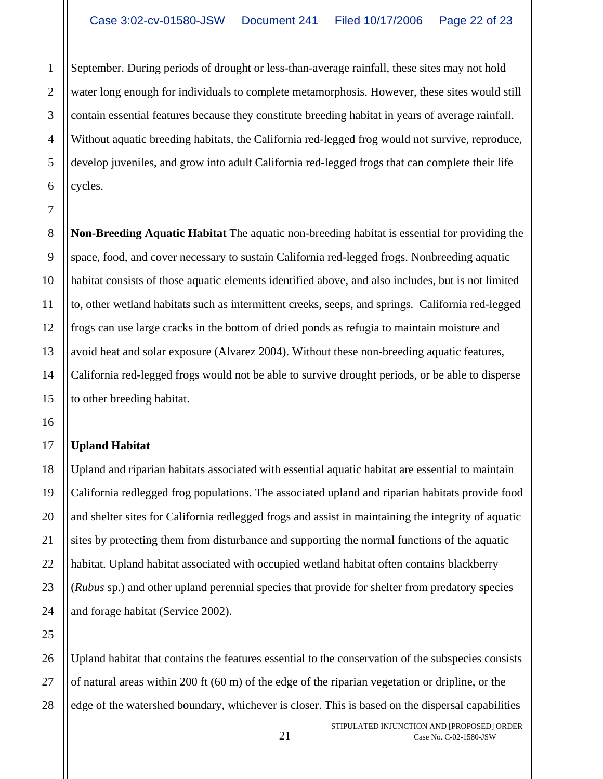September. During periods of drought or less-than-average rainfall, these sites may not hold water long enough for individuals to complete metamorphosis. However, these sites would still contain essential features because they constitute breeding habitat in years of average rainfall. Without aquatic breeding habitats, the California red-legged frog would not survive, reproduce, develop juveniles, and grow into adult California red-legged frogs that can complete their life cycles.

**Non-Breeding Aquatic Habitat** The aquatic non-breeding habitat is essential for providing the space, food, and cover necessary to sustain California red-legged frogs. Nonbreeding aquatic habitat consists of those aquatic elements identified above, and also includes, but is not limited to, other wetland habitats such as intermittent creeks, seeps, and springs. California red-legged frogs can use large cracks in the bottom of dried ponds as refugia to maintain moisture and avoid heat and solar exposure (Alvarez 2004). Without these non-breeding aquatic features, California red-legged frogs would not be able to survive drought periods, or be able to disperse to other breeding habitat.

## **Upland Habitat**

Upland and riparian habitats associated with essential aquatic habitat are essential to maintain California redlegged frog populations. The associated upland and riparian habitats provide food and shelter sites for California redlegged frogs and assist in maintaining the integrity of aquatic sites by protecting them from disturbance and supporting the normal functions of the aquatic habitat. Upland habitat associated with occupied wetland habitat often contains blackberry (*Rubus* sp.) and other upland perennial species that provide for shelter from predatory species and forage habitat (Service 2002).

Upland habitat that contains the features essential to the conservation of the subspecies consists of natural areas within 200 ft (60 m) of the edge of the riparian vegetation or dripline, or the edge of the watershed boundary, whichever is closer. This is based on the dispersal capabilities